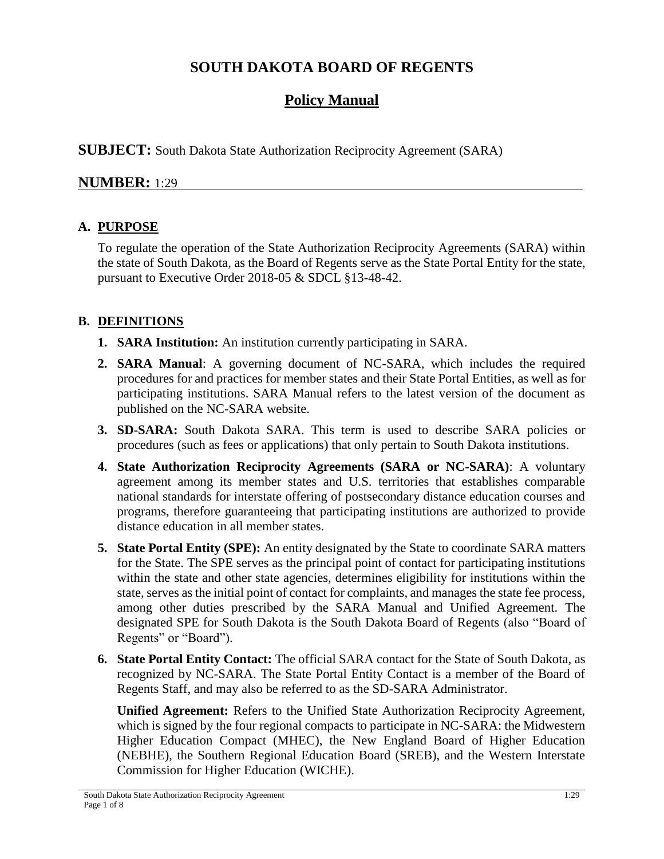# **SOUTH DAKOTA BOARD OF REGENTS**

## **Policy Manual**

**SUBJECT:** South Dakota State Authorization Reciprocity Agreement (SARA)

## **NUMBER:** 1:29

## **A. PURPOSE**

To regulate the operation of the State Authorization Reciprocity Agreements (SARA) within the state of South Dakota, as the Board of Regents serve as the State Portal Entity for the state, pursuant to Executive Order 2018-05 & SDCL §13-48-42.

## **B. DEFINITIONS**

- **1. SARA Institution:** An institution currently participating in SARA.
- **2. SARA Manual**: A governing document of NC-SARA, which includes the required procedures for and practices for member states and their State Portal Entities, as well as for participating institutions. SARA Manual refers to the latest version of the document as published on the NC-SARA website.
- **3. SD-SARA:** South Dakota SARA. This term is used to describe SARA policies or procedures (such as fees or applications) that only pertain to South Dakota institutions.
- **4. State Authorization Reciprocity Agreements (SARA or NC-SARA)**: A voluntary agreement among its member states and U.S. territories that establishes comparable national standards for interstate offering of postsecondary distance education courses and programs, therefore guaranteeing that participating institutions are authorized to provide distance education in all member states.
- **5. State Portal Entity (SPE):** An entity designated by the State to coordinate SARA matters for the State. The SPE serves as the principal point of contact for participating institutions within the state and other state agencies, determines eligibility for institutions within the state, serves as the initial point of contact for complaints, and manages the state fee process, among other duties prescribed by the SARA Manual and Unified Agreement. The designated SPE for South Dakota is the South Dakota Board of Regents (also "Board of Regents" or "Board").
- **6. State Portal Entity Contact:** The official SARA contact for the State of South Dakota, as recognized by NC-SARA. The State Portal Entity Contact is a member of the Board of Regents Staff, and may also be referred to as the SD-SARA Administrator.

**Unified Agreement:** Refers to the Unified State Authorization Reciprocity Agreement, which is signed by the four regional compacts to participate in NC-SARA: the Midwestern Higher Education Compact (MHEC), the New England Board of Higher Education (NEBHE), the Southern Regional Education Board (SREB), and the Western Interstate Commission for Higher Education (WICHE).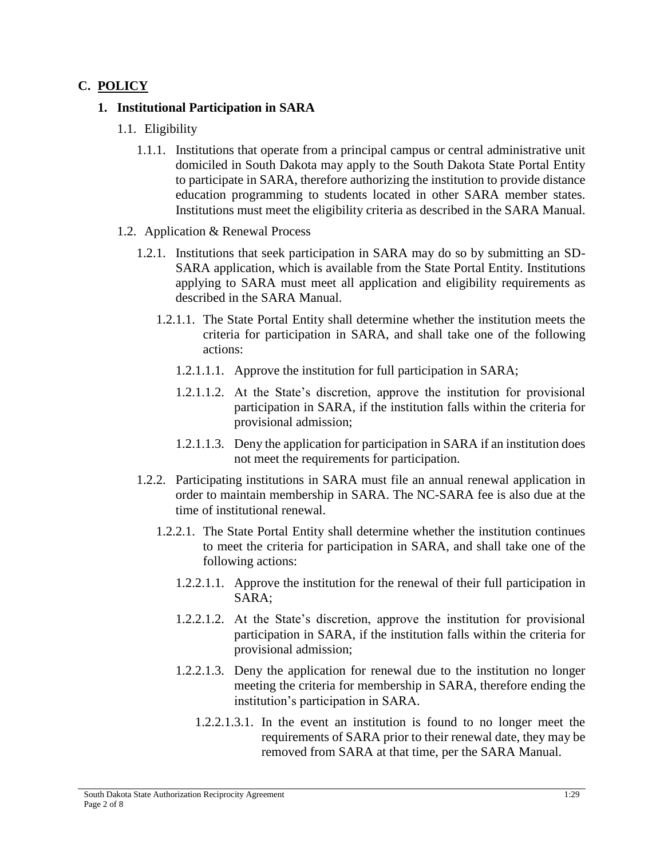## **C. POLICY**

#### **1. Institutional Participation in SARA**

- 1.1. Eligibility
	- 1.1.1. Institutions that operate from a principal campus or central administrative unit domiciled in South Dakota may apply to the South Dakota State Portal Entity to participate in SARA, therefore authorizing the institution to provide distance education programming to students located in other SARA member states. Institutions must meet the eligibility criteria as described in the SARA Manual.
- 1.2. Application & Renewal Process
	- 1.2.1. Institutions that seek participation in SARA may do so by submitting an SD-SARA application, which is available from the State Portal Entity. Institutions applying to SARA must meet all application and eligibility requirements as described in the SARA Manual.
		- 1.2.1.1. The State Portal Entity shall determine whether the institution meets the criteria for participation in SARA, and shall take one of the following actions:
			- 1.2.1.1.1. Approve the institution for full participation in SARA;
			- 1.2.1.1.2. At the State's discretion, approve the institution for provisional participation in SARA, if the institution falls within the criteria for provisional admission;
			- 1.2.1.1.3. Deny the application for participation in SARA if an institution does not meet the requirements for participation.
	- 1.2.2. Participating institutions in SARA must file an annual renewal application in order to maintain membership in SARA. The NC-SARA fee is also due at the time of institutional renewal.
		- 1.2.2.1. The State Portal Entity shall determine whether the institution continues to meet the criteria for participation in SARA, and shall take one of the following actions:
			- 1.2.2.1.1. Approve the institution for the renewal of their full participation in SARA;
			- 1.2.2.1.2. At the State's discretion, approve the institution for provisional participation in SARA, if the institution falls within the criteria for provisional admission;
			- 1.2.2.1.3. Deny the application for renewal due to the institution no longer meeting the criteria for membership in SARA, therefore ending the institution's participation in SARA.
				- 1.2.2.1.3.1. In the event an institution is found to no longer meet the requirements of SARA prior to their renewal date, they may be removed from SARA at that time, per the SARA Manual.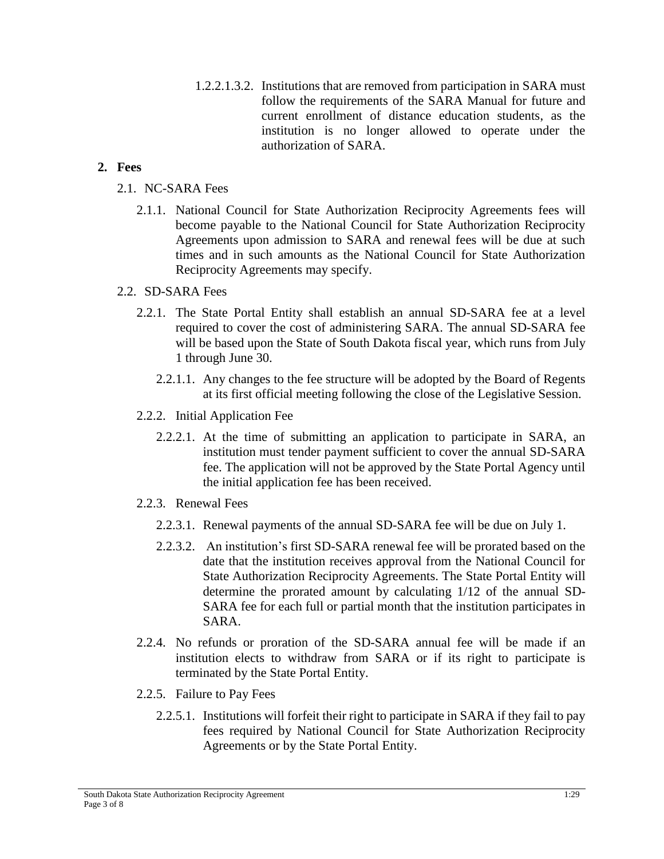1.2.2.1.3.2. Institutions that are removed from participation in SARA must follow the requirements of the SARA Manual for future and current enrollment of distance education students, as the institution is no longer allowed to operate under the authorization of SARA.

#### **2. Fees**

- 2.1. NC-SARA Fees
	- 2.1.1. National Council for State Authorization Reciprocity Agreements fees will become payable to the National Council for State Authorization Reciprocity Agreements upon admission to SARA and renewal fees will be due at such times and in such amounts as the National Council for State Authorization Reciprocity Agreements may specify.

#### 2.2. SD-SARA Fees

- 2.2.1. The State Portal Entity shall establish an annual SD-SARA fee at a level required to cover the cost of administering SARA. The annual SD-SARA fee will be based upon the State of South Dakota fiscal year, which runs from July 1 through June 30.
	- 2.2.1.1. Any changes to the fee structure will be adopted by the Board of Regents at its first official meeting following the close of the Legislative Session.
- 2.2.2. Initial Application Fee
	- 2.2.2.1. At the time of submitting an application to participate in SARA, an institution must tender payment sufficient to cover the annual SD-SARA fee. The application will not be approved by the State Portal Agency until the initial application fee has been received.
- 2.2.3. Renewal Fees
	- 2.2.3.1. Renewal payments of the annual SD-SARA fee will be due on July 1.
	- 2.2.3.2. An institution's first SD-SARA renewal fee will be prorated based on the date that the institution receives approval from the National Council for State Authorization Reciprocity Agreements. The State Portal Entity will determine the prorated amount by calculating 1/12 of the annual SD-SARA fee for each full or partial month that the institution participates in SARA.
- 2.2.4. No refunds or proration of the SD-SARA annual fee will be made if an institution elects to withdraw from SARA or if its right to participate is terminated by the State Portal Entity.
- 2.2.5. Failure to Pay Fees
	- 2.2.5.1. Institutions will forfeit their right to participate in SARA if they fail to pay fees required by National Council for State Authorization Reciprocity Agreements or by the State Portal Entity.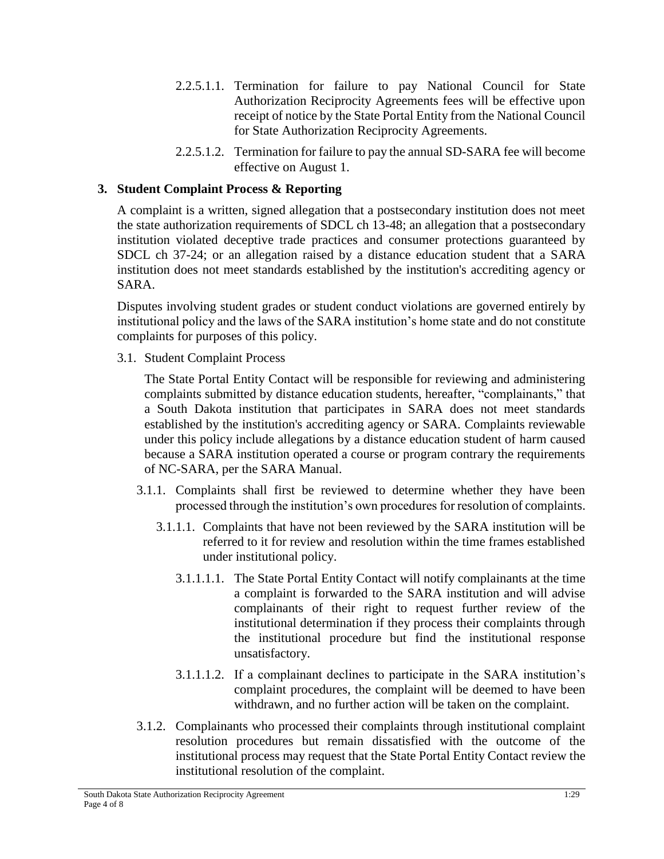- 2.2.5.1.1. Termination for failure to pay National Council for State Authorization Reciprocity Agreements fees will be effective upon receipt of notice by the State Portal Entity from the National Council for State Authorization Reciprocity Agreements.
- 2.2.5.1.2. Termination for failure to pay the annual SD-SARA fee will become effective on August 1.

### **3. Student Complaint Process & Reporting**

A complaint is a written, signed allegation that a postsecondary institution does not meet the state authorization requirements of SDCL ch 13-48; an allegation that a postsecondary institution violated deceptive trade practices and consumer protections guaranteed by SDCL ch 37-24; or an allegation raised by a distance education student that a SARA institution does not meet standards established by the institution's accrediting agency or SARA.

Disputes involving student grades or student conduct violations are governed entirely by institutional policy and the laws of the SARA institution's home state and do not constitute complaints for purposes of this policy.

3.1. Student Complaint Process

The State Portal Entity Contact will be responsible for reviewing and administering complaints submitted by distance education students, hereafter, "complainants," that a South Dakota institution that participates in SARA does not meet standards established by the institution's accrediting agency or SARA. Complaints reviewable under this policy include allegations by a distance education student of harm caused because a SARA institution operated a course or program contrary the requirements of NC-SARA, per the SARA Manual.

- 3.1.1. Complaints shall first be reviewed to determine whether they have been processed through the institution's own procedures for resolution of complaints.
	- 3.1.1.1. Complaints that have not been reviewed by the SARA institution will be referred to it for review and resolution within the time frames established under institutional policy.
		- 3.1.1.1.1. The State Portal Entity Contact will notify complainants at the time a complaint is forwarded to the SARA institution and will advise complainants of their right to request further review of the institutional determination if they process their complaints through the institutional procedure but find the institutional response unsatisfactory.
		- 3.1.1.1.2. If a complainant declines to participate in the SARA institution's complaint procedures, the complaint will be deemed to have been withdrawn, and no further action will be taken on the complaint.
- 3.1.2. Complainants who processed their complaints through institutional complaint resolution procedures but remain dissatisfied with the outcome of the institutional process may request that the State Portal Entity Contact review the institutional resolution of the complaint.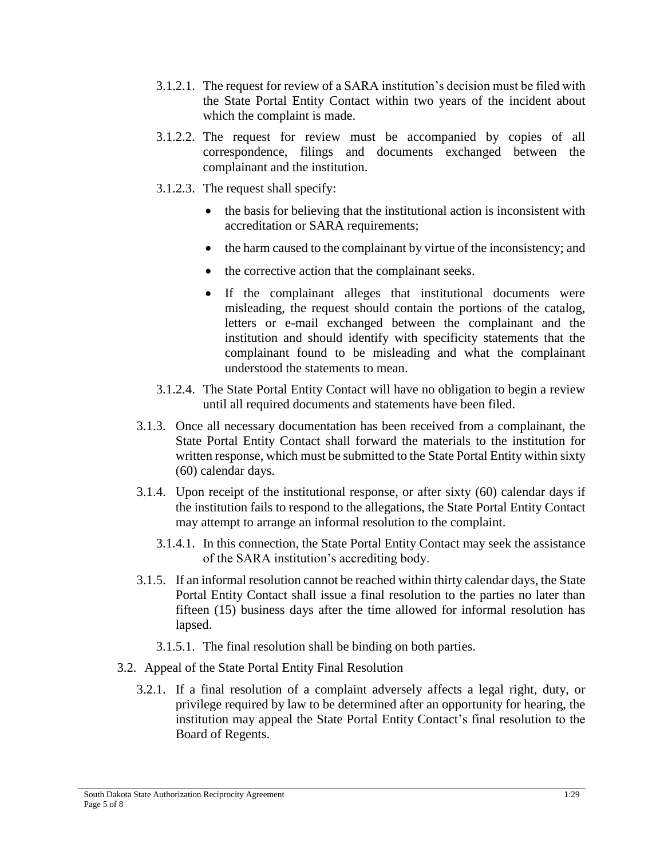- 3.1.2.1. The request for review of a SARA institution's decision must be filed with the State Portal Entity Contact within two years of the incident about which the complaint is made.
- 3.1.2.2. The request for review must be accompanied by copies of all correspondence, filings and documents exchanged between the complainant and the institution.
- 3.1.2.3. The request shall specify:
	- the basis for believing that the institutional action is inconsistent with accreditation or SARA requirements;
	- the harm caused to the complainant by virtue of the inconsistency; and
	- the corrective action that the complainant seeks.
	- If the complainant alleges that institutional documents were misleading, the request should contain the portions of the catalog, letters or e-mail exchanged between the complainant and the institution and should identify with specificity statements that the complainant found to be misleading and what the complainant understood the statements to mean.
- 3.1.2.4. The State Portal Entity Contact will have no obligation to begin a review until all required documents and statements have been filed.
- 3.1.3. Once all necessary documentation has been received from a complainant, the State Portal Entity Contact shall forward the materials to the institution for written response, which must be submitted to the State Portal Entity within sixty (60) calendar days.
- 3.1.4. Upon receipt of the institutional response, or after sixty (60) calendar days if the institution fails to respond to the allegations, the State Portal Entity Contact may attempt to arrange an informal resolution to the complaint.
	- 3.1.4.1. In this connection, the State Portal Entity Contact may seek the assistance of the SARA institution's accrediting body.
- 3.1.5. If an informal resolution cannot be reached within thirty calendar days, the State Portal Entity Contact shall issue a final resolution to the parties no later than fifteen (15) business days after the time allowed for informal resolution has lapsed.
	- 3.1.5.1. The final resolution shall be binding on both parties.
- 3.2. Appeal of the State Portal Entity Final Resolution
	- 3.2.1. If a final resolution of a complaint adversely affects a legal right, duty, or privilege required by law to be determined after an opportunity for hearing, the institution may appeal the State Portal Entity Contact's final resolution to the Board of Regents.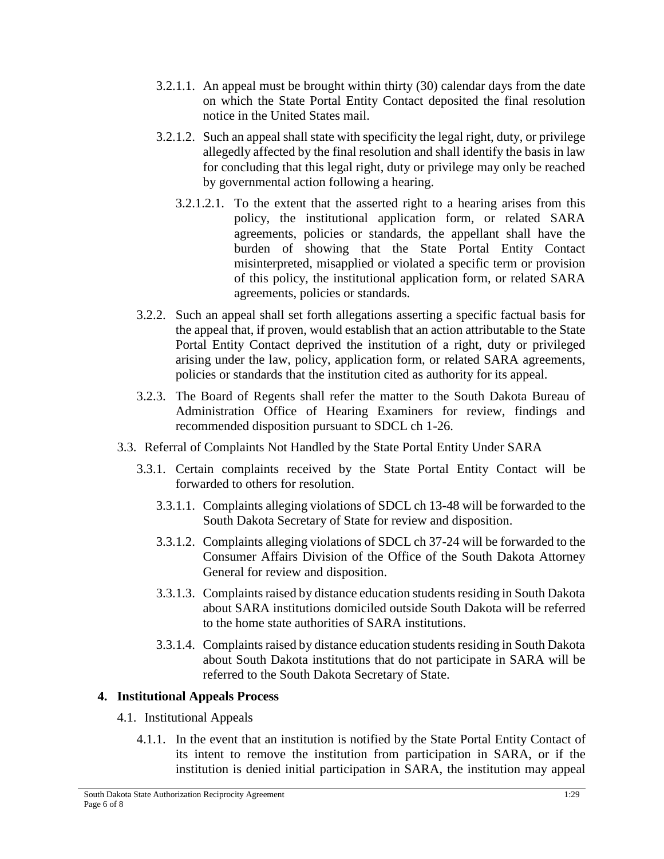- 3.2.1.1. An appeal must be brought within thirty (30) calendar days from the date on which the State Portal Entity Contact deposited the final resolution notice in the United States mail.
- 3.2.1.2. Such an appeal shall state with specificity the legal right, duty, or privilege allegedly affected by the final resolution and shall identify the basis in law for concluding that this legal right, duty or privilege may only be reached by governmental action following a hearing.
	- 3.2.1.2.1. To the extent that the asserted right to a hearing arises from this policy, the institutional application form, or related SARA agreements, policies or standards, the appellant shall have the burden of showing that the State Portal Entity Contact misinterpreted, misapplied or violated a specific term or provision of this policy, the institutional application form, or related SARA agreements, policies or standards.
- 3.2.2. Such an appeal shall set forth allegations asserting a specific factual basis for the appeal that, if proven, would establish that an action attributable to the State Portal Entity Contact deprived the institution of a right, duty or privileged arising under the law, policy, application form, or related SARA agreements, policies or standards that the institution cited as authority for its appeal.
- 3.2.3. The Board of Regents shall refer the matter to the South Dakota Bureau of Administration Office of Hearing Examiners for review, findings and recommended disposition pursuant to SDCL ch 1-26.
- 3.3. Referral of Complaints Not Handled by the State Portal Entity Under SARA
	- 3.3.1. Certain complaints received by the State Portal Entity Contact will be forwarded to others for resolution.
		- 3.3.1.1. Complaints alleging violations of SDCL ch 13-48 will be forwarded to the South Dakota Secretary of State for review and disposition.
		- 3.3.1.2. Complaints alleging violations of SDCL ch 37-24 will be forwarded to the Consumer Affairs Division of the Office of the South Dakota Attorney General for review and disposition.
		- 3.3.1.3. Complaints raised by distance education students residing in South Dakota about SARA institutions domiciled outside South Dakota will be referred to the home state authorities of SARA institutions.
		- 3.3.1.4. Complaints raised by distance education students residing in South Dakota about South Dakota institutions that do not participate in SARA will be referred to the South Dakota Secretary of State.

## **4. Institutional Appeals Process**

- 4.1. Institutional Appeals
	- 4.1.1. In the event that an institution is notified by the State Portal Entity Contact of its intent to remove the institution from participation in SARA, or if the institution is denied initial participation in SARA, the institution may appeal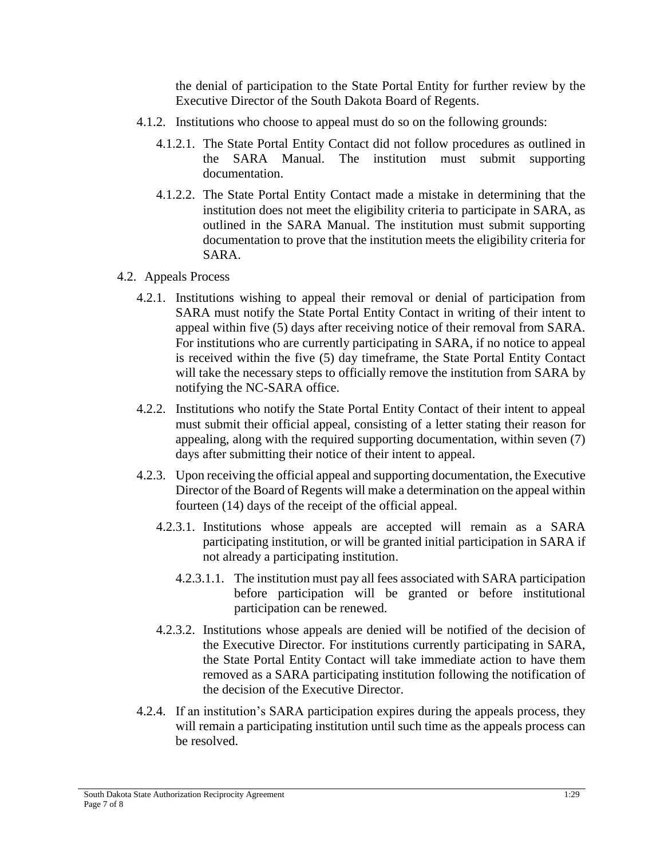the denial of participation to the State Portal Entity for further review by the Executive Director of the South Dakota Board of Regents.

- 4.1.2. Institutions who choose to appeal must do so on the following grounds:
	- 4.1.2.1. The State Portal Entity Contact did not follow procedures as outlined in the SARA Manual. The institution must submit supporting documentation.
	- 4.1.2.2. The State Portal Entity Contact made a mistake in determining that the institution does not meet the eligibility criteria to participate in SARA, as outlined in the SARA Manual. The institution must submit supporting documentation to prove that the institution meets the eligibility criteria for SARA.
- 4.2. Appeals Process
	- 4.2.1. Institutions wishing to appeal their removal or denial of participation from SARA must notify the State Portal Entity Contact in writing of their intent to appeal within five (5) days after receiving notice of their removal from SARA. For institutions who are currently participating in SARA, if no notice to appeal is received within the five (5) day timeframe, the State Portal Entity Contact will take the necessary steps to officially remove the institution from SARA by notifying the NC-SARA office.
	- 4.2.2. Institutions who notify the State Portal Entity Contact of their intent to appeal must submit their official appeal, consisting of a letter stating their reason for appealing, along with the required supporting documentation, within seven (7) days after submitting their notice of their intent to appeal.
	- 4.2.3. Upon receiving the official appeal and supporting documentation, the Executive Director of the Board of Regents will make a determination on the appeal within fourteen (14) days of the receipt of the official appeal.
		- 4.2.3.1. Institutions whose appeals are accepted will remain as a SARA participating institution, or will be granted initial participation in SARA if not already a participating institution.
			- 4.2.3.1.1. The institution must pay all fees associated with SARA participation before participation will be granted or before institutional participation can be renewed.
		- 4.2.3.2. Institutions whose appeals are denied will be notified of the decision of the Executive Director. For institutions currently participating in SARA, the State Portal Entity Contact will take immediate action to have them removed as a SARA participating institution following the notification of the decision of the Executive Director.
	- 4.2.4. If an institution's SARA participation expires during the appeals process, they will remain a participating institution until such time as the appeals process can be resolved.